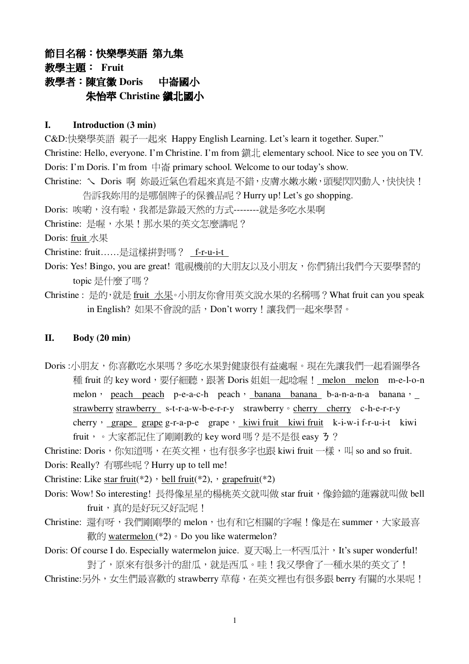# 節目名稱:快樂學英語 第九集 **教學主題: Fruit** 数學者:陳官徽 Doris 中崙國小 朱怡苹 Christine 鎮北國小

#### **I. Introduction (3 min)**

C&D:快樂學英語 親子一起來 Happy English Learning. Let's learn it together. Super." Christine: Hello, everyone. I'm Christine. I'm from 鎮北 elementary school. Nice to see you on TV. Doris: I'm Doris. I'm from  $\Box \ddot{\mathbb{H}}$  primary school. Welcome to our today's show. Christine: 乀 Doris 啊 妳最近氣色看起來真是不錯,皮膚水嫩水嫩,頭髮閃閃動人,快快快! 告訴我妳用的是哪個牌子的保養品呢?Hurry up! Let's go shopping. Doris: 唉喲,沒有啦,我都是靠最天然的方式-------就是多吃水果啊 Christine: 是喔,水果!那水果的英文怎麼講呢? Doris: fruit  $\mathbb{R}$ Christine: fruit……是這樣拼對嗎? \_f-r-u-i-t Doris: Yes! Bingo, you are great! 電視機前的大朋友以及小朋友,你們猜出我們今天要學習的 topic 是什麼了嗎?

Christine : 是的,就是 fruit 水果。小朋友你會用英文說水果的名稱嗎?What fruit can you speak in English? 如果不會說的話,Don't worry!讓我們一起來學習。

### **II. Body (20 min)**

Doris :小朋友,你喜歡吃水果嗎?多吃水果對健康很有益處喔。現在先讓我們一起看圖學各 種 fruit 的 key word,要仔細聽,跟著 Doris 姐姐一起唸喔! melon melon m-e-l-o-n melon peach peach p-e-a-c-h peach banana banana b-a-n-a-n-a banana y strawberry strawberry s-t-r-a-w-b-e-r-r-y strawberry  $\circ$  cherry c-h-e-r-r-y cherry  $\frac{1}{2}$  grape g-r-a-p-e grape  $\frac{1}{2}$  kiwi fruit kiwi fruit k-i-w-i f-r-u-i-t kiwi fruit, 。大家都記住了剛剛教的 key word 嗎?是不是很 easy 3 ?

Christine: Doris, 你知道嗎, 在英文裡, 也有很多字也跟 kiwi fruit 一樣, 叫 so and so fruit. Doris: Really? 有哪些呢? Hurry up to tell me!

Christine: Like star fruit(\*2), bell fruit(\*2), grapefruit(\*2)

- Doris: Wow! So interesting! 長得像星星的楊桃英文就叫做 star fruit, 像鈴鐺的蓮霧就叫做 bell fruit, 直的是好玩又好記呢!
- Christine: 還有呀,我們剛剛學的 melon, 也有和它相關的字喔!像是在 summer, 大家最喜  $\frac{2}{100}$  watermelon (\*2)  $\circ$  Do you like watermelon?

Doris: Of course I do. Especially watermelon juice. 夏天喝上一杯西瓜汁,It's super wonderful! 對了,原來有很多汁的甜瓜,就是西瓜。哇!我又學會了一種水果的英文了!

Christine:另外,女生們最喜歡的 strawberry 草莓,在英文裡也有很多跟 berry 有關的水果呢!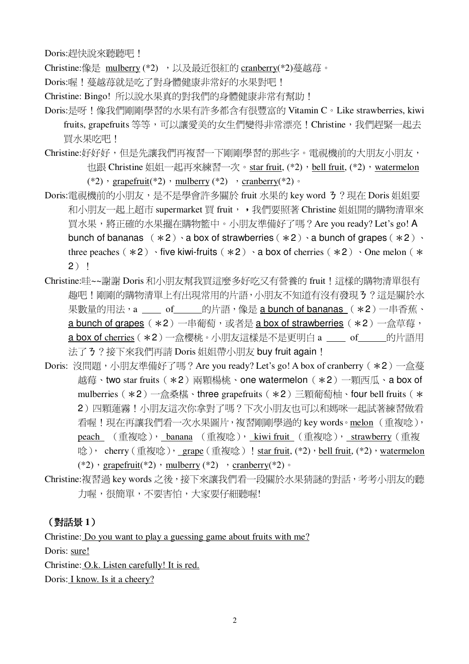Doris:趕快說來聽聽吧!

Christine:像是 mulberry (\*2) , 以及最沂很紅的 cranberry(\*2)蔓越苺。

- Doris:喔!蔓越苺就是吃了對身體健康非常好的水果對吧!
- Christine: Bingo! 所以說水果真的對我們的身體健康非常有幫助!
- Doris:是呀!像我們剛剛學習的水果有許多都含有很豐富的 Vitamin C。Like strawberries, kiwi fruits, grapefruits 等等,可以讓愛美的女生們變得非常漂亮!Christine,我們趕緊一起去 買水果吃吧!
- Christine:好好好,但是先讓我們再複習一下剛剛學習的那些字。電視機前的大朋友小朋友, 也跟 Christine 姐姐一起再來練習一次。star fruit, (\*2), bell fruit, (\*2), watermelon (\*2) · grapefruit(\*2) · mulberry (\*2) · cranberry (\*2) ·
- Doris:電視機前的小朋友,是不是學會許多關於 fruit 水果的 key word 3 ? 現在 Doris 姐姐要 和小朋友一起上超市 supermarket 買 fruit, , 我們要照著 Christine 姐姐開的購物清單來 買水果,將正確的水果擺在購物籃中。小朋友準備好了嗎? Are you ready? Let's go! A bunch of bananas  $(*2) \cdot a$  box of strawberries  $(*2) \cdot a$  bunch of grapes  $(*2) \cdot$ three peaches  $(*2)$  ive kiwi-fruits  $(*2)$  a box of cherries  $(*2)$  One melon  $(*$  $2)$  !
- Christine:哇~~謝謝 Doris 和小朋友幫我買這麼多好吃又有營養的 fruit ! 這樣的購物清單很有 趣吧!剛剛的購物清單上有出現常用的片語,小朋友不知道有沒有發現3?這是關於水 果數量的用法, a of 的片語, 像是 a bunch of bananas (\*2) 一串香蕉、 a bunch of grapes (\*2) 一串葡萄,或者是 a box of strawberries (\*2) 一盒草莓, a box of cherries (\*2) 一盒櫻桃。小朋友這樣是不是更明白 a \_\_\_ of \_\_\_ 的片語用 法了3?接下來我們再請 Doris 姐姐帶小朋友 buy fruit again!
- Doris: 沒問題,小朋友準備好了嗎?Are you ready? Let's go! A box of cranberry (\*2) 一盒蔓 越莓、two star fruits (\*2) 兩顆楊桃、one watermelon (\*2) 一顆西瓜、a box of mulberries (\*2) 一盒桑椹、three grapefruits (\*2) 三顆葡萄柚、four bell fruits (\* 2) 四顆蓮霧!小朋友這次你拿對了嗎?下次小朋友也可以和媽咪一起試著練習做看 看喔!現在再讓我們看一次水果圖片,複習剛剛學過的 key words。melon (重複唸), peach (重複唸), banana (重複唸), kiwi fruit (重複唸), strawberry (重複 唸), cherry (重複唸), grape (重複唸) ! star fruit,  $(*2)$ , bell fruit,  $(*2)$ , watermelon (\*2) · grapefruit(\*2) · mulberry (\*2) · cranberry (\*2) ·
- Christine:複習過 key words 之後, 接下來讓我們看一段關於水果猜謎的對話, 考考小朋友的聽 力喔,很簡單,不要害怕,大家要仔細聽喔!

## (對話景1)

Christine: Do you want to play a guessing game about fruits with me? Doris: sure! Christine: O.k. Listen carefully! It is red. Doris: *I know. Is it a cheery?*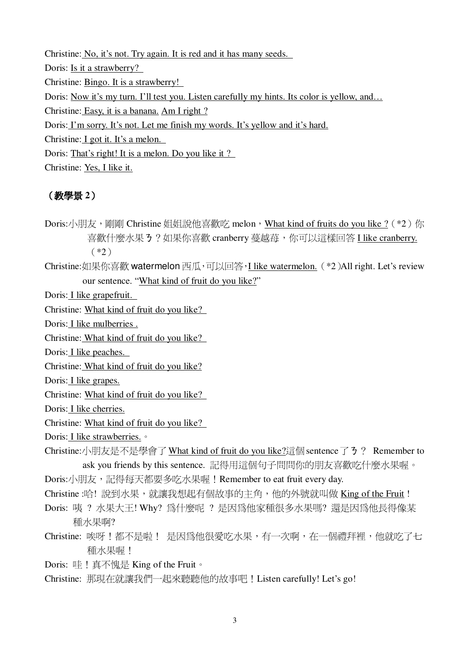Christine: No, it's not. Try again. It is red and it has many seeds. Doris: Is it a strawberry? Christine: Bingo. It is a strawberry! Doris: Now it's my turn. I'll test you. Listen carefully my hints. Its color is yellow, and... Christine: Easy, it is a banana. Am I right? Doris: I'm sorry. It's not. Let me finish my words. It's yellow and it's hard. Christine: I got it. It's a melon. Doris: That's right! It is a melon. Do you like it? Christine: Yes, I like it.

# (教學景2)

Doris:小朋友,剛剛 Christine 姐姐說他喜歡吃 melon,What kind of fruits do you like ? (\*2) 你 喜歡什麼水果 3 ? 如果你喜歡 cranberry 蔓越苺, 你可以這樣回答 I like cranberry.  $(*2)$ 

Christine:如果你喜歡 watermelon 西瓜,可以回答, I like watermelon. (\*2)All right. Let's review our sentence. "What kind of fruit do you like?"

Doris: I like grapefruit.

Christine: What kind of fruit do you like?

Doris: I like mulberries.

Christine: What kind of fruit do you like?

Doris: I like peaches.

Christine: What kind of fruit do you like?

Doris: I like grapes.

Christine: What kind of fruit do you like?

Doris: I like cherries.

Christine: What kind of fruit do you like?

Doris: I like strawberries. •

Christine:小朋友是不是學會了 What kind of fruit do you like?這個 sentence 了 3 ? Remember to ask you friends by this sentence. 記得用這個句子問問你的朋友喜歡吃什麼水果喔。

Doris:小朋友,記得每天都要多吃水果喔!Remember to eat fruit every day.

- Christine:哈!說到水果,就讓我想起有個故事的主角,他的外號就叫做 King of the Fruit!
- Doris: 咦 ? 水果大王! Why? 為什麼呢 ? 是因為他家種很多水果嗎? 還是因為他長得像某 種水果啊?
- Christine: 唉呀!都不是啦! 是因為他很愛吃水果,有一次啊,在一個禮拜裡,他就吃了七 種水果喔!

Doris: 哇!真不愧是 King of the Fruit。

Christine: 那現在就讓我們一起來聽聽他的故事吧!Listen carefully! Let's go!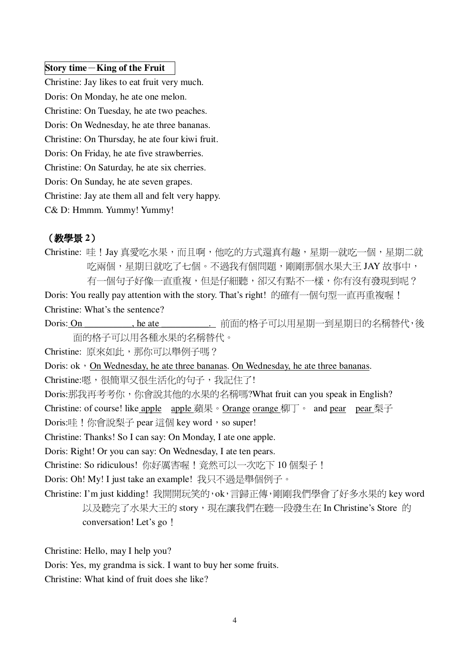#### Story time  $-King$  of the Fruit

Christine: Jay likes to eat fruit very much. Doris: On Monday, he ate one melon. Christine: On Tuesday, he ate two peaches. Doris: On Wednesday, he ate three bananas. Christine: On Thursday, he ate four kiwi fruit. Doris: On Friday, he ate five strawberries. Christine: On Saturday, he ate six cherries. Doris: On Sunday, he ate seven grapes. Christine: Jay ate them all and felt very happy. C& D: Hmmm. Yummy! Yummy!

### (教學景2)

Christine: 哇!Jay 真愛吃水果,而且啊,他吃的方式還真有趣,星期一就吃一個,星期二就 吃兩個,星期日就吃了七個。不過我有個問題,剛剛那個水果大王 JAY 故事中, 有一個句子好像一直重複,但是仔細聽,卻又有點不一樣,你有沒有發現到呢? Doris: You really pay attention with the story. That's right! 的確有一個句型一直再重複喔 ! Christine: What's the sentence?

Doris: On , he ate \_\_\_\_\_\_\_\_\_\_. 前面的格子可以用星期一到星期日的名稱替代, 後 面的格子可以用各種水果的名稱替代。

Christine: 原來如此, 那你可以舉例子嗎?

Doris: ok , On Wednesday, he ate three bananas. On Wednesday, he ate three bananas.

Christine:嗯,很簡單又很生活化的句子,我記住了!

Doris:那我再考考你,你會說其他的水果的名稱嗎?What fruit can you speak in English? Christine: of course! like apple apple 蘋果。Orange orange 柳丁。 and pear pear 梨子 Doris:哇!你會說梨子 pear 這個 key word, so super!

Christine: Thanks! So I can say: On Monday, I ate one apple.

Doris: Right! Or you can say: On Wednesday, I ate ten pears.

Christine: So ridiculous! 你好厲害喔!竟然可以一次吃下 10 個梨子!

Doris: Oh! My! I just take an example! 我只不過是舉個例子。

Christine: I'm just kidding! 我開開玩笑的, ok, 言歸正傳, 剛剛我們學會了好多水果的 key word 以及聽完了水果大王的 story,現在讓我們在聽一段發生在 In Christine's Store 的 conversation! Let's go!

Christine: Hello, may I help you?

Doris: Yes, my grandma is sick. I want to buy her some fruits.

Christine: What kind of fruit does she like?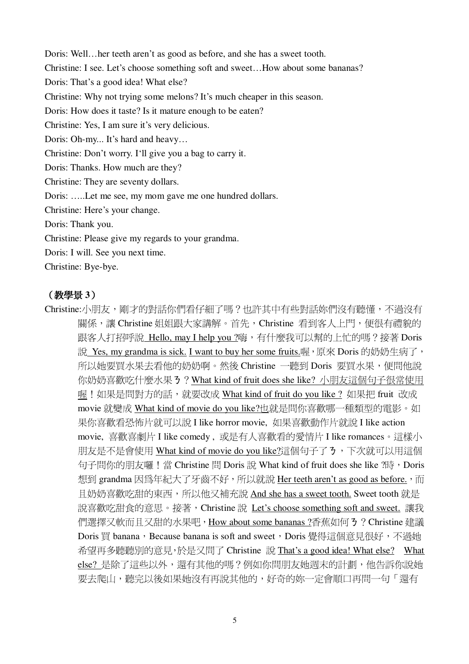Doris: Well...her teeth aren't as good as before, and she has a sweet tooth. Christine: I see. Let's choose something soft and sweet...How about some bananas? Doris: That's a good idea! What else? Christine: Why not trying some melons? It's much cheaper in this season. Doris: How does it taste? Is it mature enough to be eaten? Christine: Yes, I am sure it's very delicious. Doris: Oh-my... It's hard and heavy... Christine: Don't worry. I'll give you a bag to carry it. Doris: Thanks. How much are they? Christine: They are seventy dollars. Doris: .....Let me see, my mom gave me one hundred dollars. Christine: Here's your change. Doris: Thank you. Christine: Please give my regards to your grandma. Doris: I will. See you next time. Christine: Bye-bye.

## (教學景3)

Christine:小朋友,剛才的對話你們看仔細了嗎?也許其中有些對話妳們沒有聽懂,不過沒有 關係,讓 Christine 姐姐跟大家講解。首先,Christine 看到客人上門,便很有禮貌的 跟客人打招呼說 Hello, may I help you ?嗨,有什麼我可以幫的上忙的嗎?接著 Doris 說 Yes, my grandma is sick. I want to buy her some fruits.喔, 原來 Doris 的奶奶生病了, 所以她要買水果去看他的奶奶啊。然後 Christine 一聽到 Doris 要買水果,便問他說 你奶奶喜歡吃什麼水果 3 ? What kind of fruit does she like? 小朋友這個句子很常使用 喔!如果是問對方的話, 就要改成 What kind of fruit do you like ? 如果把 fruit 改成 movie 就變成 What kind of movie do you like?也就是問你喜歡哪一種類型的電影。如 果你喜歡看恐怖片就可以說 I like horror movie, 如果喜歡動作片就說 I like action movie, 喜歡喜劇片 I like comedy, 或是有人喜歡看的愛情片 I like romances。這樣小 朋友是不是會使用 What kind of movie do you like?這個句子了3,下次就可以用這個 句子問你的朋友囉!當 Christine 問 Doris 說 What kind of fruit does she like ?時,Doris 想到 grandma 因為年紀大了牙齒不好, 所以就說 Her teeth aren't as good as before., 而 且奶奶喜歡吃甜的東西,所以他又補充說 And she has a sweet tooth. Sweet tooth 就是 說喜歡吃甜食的意思。接著, Christine 說 Let's choose something soft and sweet. 讓我 們選擇又軟而且又甜的水果吧, How about some bananas?香蕉如何3? Christine 建議 Doris 買 banana, Because banana is soft and sweet, Doris 覺得這個意見很好, 不過她 希望再多聽聽別的意見,於是又問了 Christine 說 That's a good idea! What else? What else? 是除了這些以外,還有其他的嗎?例如你問朋友她週末的計劃,他告訴你說她 要去爬山,聽完以後如果她沒有再說其他的,好奇的妳一定會順口再問一句「還有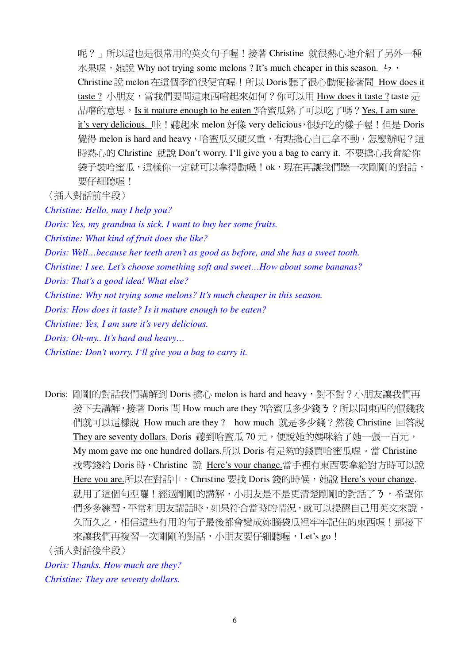呢?」所以這也是很常用的英文句子喔!接著 Christine 就很熱心地介紹了另外一種 水果喔, 她說 Why not trying some melons ? It's much cheaper in this season. 4, Christine 說 melon 在這個季節很便宜喔!所以 Doris 聽了很心動便接著問 How does it taste?小朋友,當我們要問這東西嚐起來如何?你可以用 How does it taste?taste 是 品嚐的意思,Is it mature enough to be eaten ?哈蜜瓜熟了可以吃了嗎?Yes, I am sure it's very delicious. 哇!聽起來 melon 好像 very delicious, 很好吃的樣子喔!但是 Doris 覺得 melon is hard and heavy,哈蜜瓜又硬又重,有點擔心自己拿不動,怎麼辦呢?這 時熱心的 Christine 就說 Don't worry. I'll give you a bag to carry it. 不要擔心我會給你 袋子裝哈蜜瓜,這樣你一定就可以拿得動囉!ok,現在再讓我們聽一次剛剛的對話, 要仔細聽喔!

〈插入對話前半段〉

Christine: Hello, may I help you?

Doris: Yes, my grandma is sick. I want to buy her some fruits.

Christine: What kind of fruit does she like?

Doris: Well...because her teeth aren't as good as before, and she has a sweet tooth.

Christine: I see. Let's choose something soft and sweet...How about some bananas?

Doris: That's a good idea! What else?

Christine: Why not trying some melons? It's much cheaper in this season.

Doris: How does it taste? Is it mature enough to be eaten?

Christine: Yes, I am sure it's very delicious.

Doris: Oh-my.. It's hard and heavy...

Christine: Don't worry. I'll give you a bag to carry it.

Doris: 剛剛的對話我們講解到 Doris 擔心 melon is hard and heavy, 對不對?小朋友讓我們再 接下去講解,接著 Doris 問 How much are they ?哈蜜瓜多少錢 3 ? 所以問東西的價錢我 們就可以這樣說 How much are they ? how much 就是多少錢?然後 Christine 回答說 They are seventy dollars. Doris 聽到哈蜜瓜 70 元,便說她的媽咪給了她一張一百元, My mom gave me one hundred dollars.所以 Doris 有足夠的錢買哈蜜瓜喔。當 Christine 找零錢給 Doris 時, Christine 說 Here's your change.當手裡有東西要拿給對方時可以說 Here you are.所以在對話中, Christine 要找 Doris 錢的時候, 她說 Here's your change. 就用了這個句型囉!經過剛剛的講解,小朋友是不是更清楚剛剛的對話了3,希望你 們多多練習,平常和朋友講話時,如果符合當時的情況,就可以提醒自己用英文來說, 久而久之,相信這些有用的句子最後都會變成妳腦袋瓜裡牢牢記住的東西喔!那接下 來讓我們再複習一次剛剛的對話,小朋友要仔細聽喔,Let's go! 〈插入對話後半段〉

Doris: Thanks. How much are they?

Christine: They are seventy dollars.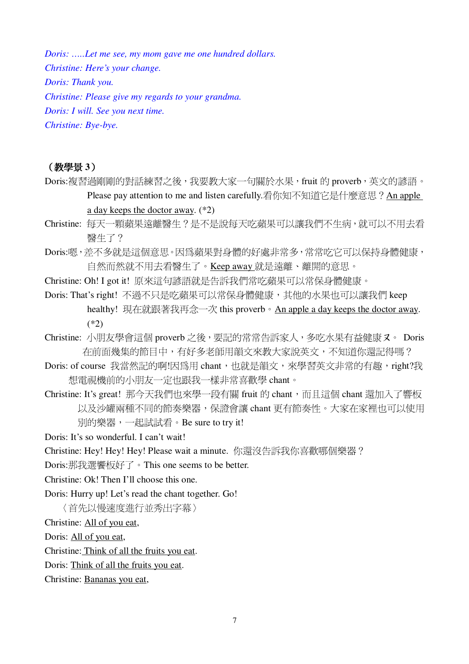Doris: .....Let me see, my mom gave me one hundred dollars.

Christine: Here's your change.

Doris: Thank you.

Christine: Please give my regards to your grandma.

Doris: I will. See you next time.

Christine: Bye-bye.

### (教學景3)

- Doris:複習過剛剛的對話練習之後,我要教大家一句關於水果, fruit 的 proverb, 英文的諺語。 Please pay attention to me and listen carefully.看你知不知道它是什麼意思?An apple a day keeps the doctor away.  $(*2)$
- Christine: 每天一顆蘋果遠離醫生?是不是說每天吃蘋果可以讓我們不生病,就可以不用去看 翳牛了?
- Doris:嗯,差不多就是這個意思。因為蘋果對身體的好處非常多,常常吃它可以保持身體健康, 自然而然就不用去看醫生了。Keep away 就是遠離、離開的意思。
- Christine: Oh! I got it! 原來這句諺語就是告訴我們常吃蘋果可以常保身體健康。
- Doris: That's right! 不過不只是吃蘋果可以常保身體健康, 其他的水果也可以讓我們 keep healthy! 現在就跟著我再念一次 this proverb。An apple a day keeps the doctor away.  $(*2)$
- Christine: 小朋友學會這個 proverb 之後, 要記的常常告訴家人, 多吃水果有益健康又。 Doris 在前面幾集的節目中,有好多老師用韻文來教大家說英文,不知道你還記得嗎?
- Doris: of course 我當然記的啊!因為用 chant, 也就是韻文, 來學習英文非常的有趣, right?我 想電視機前的小朋友一定也跟我一樣非常喜歡學 chant。
- Christine: It's great! 那今天我們也來學一段有關 fruit 的 chant, 而且這個 chant 還加入了響板 以及沙罐兩種不同的節奏樂器,保證會讓 chant 更有節奏性。大家在家裡也可以使用 別的樂器,一起試試看。Be sure to try it!
- Doris: It's so wonderful. I can't wait!
- Christine: Hey! Hey! Hey! Please wait a minute. 你還沒告訴我你喜歡哪個樂器?
- Doris:那我選饗板好了。This one seems to be better.
- Christine: Ok! Then I'll choose this one.

Doris: Hurry up! Let's read the chant together. Go!

(首先以慢速度淮行並秀出字幕)

Christine: All of you eat,

Doris: All of you eat,

Christine: Think of all the fruits you eat.

Doris: Think of all the fruits you eat.

Christine: Bananas you eat,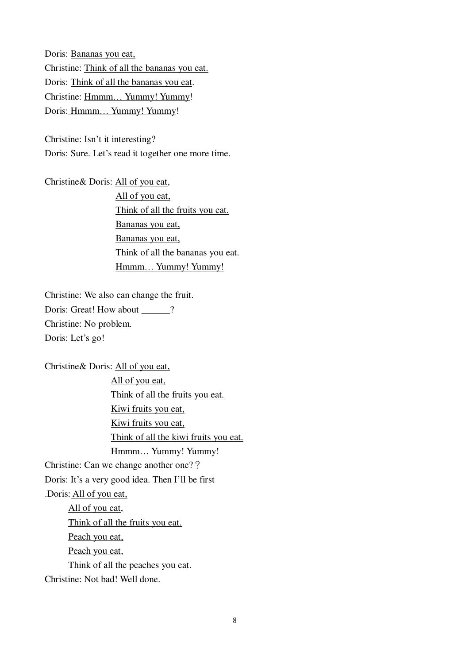Doris: Bananas you eat, Christine: Think of all the bananas you eat. Doris: Think of all the bananas you eat. Christine: Hmmm… Yummy! Yummy! Doris: Hmmm… Yummy! Yummy!

Christine: Isn't it interesting? Doris: Sure. Let's read it together one more time.

Christine& Doris: All of you eat, All of you eat, Think of all the fruits you eat. Bananas you eat, Bananas you eat, Think of all the bananas you eat. Hmmm... Yummy! Yummy!

Christine: We also can change the fruit. Doris: Great! How about \_\_\_\_\_? Christine: No problem. Doris: Let's go!

Christine& Doris: All of you eat,

All of you eat, Think of all the fruits you eat. Kiwi fruits you eat, Kiwi fruits you eat, Think of all the kiwi fruits you eat. Hmmm… Yummy! Yummy! Christine: Can we change another one?? Doris: It's a very good idea. Then I'll be first .Doris: All of you eat, All of you eat, Think of all the fruits you eat. Peach you eat, Peach you eat, Think of all the peaches you eat. Christine: Not bad! Well done.